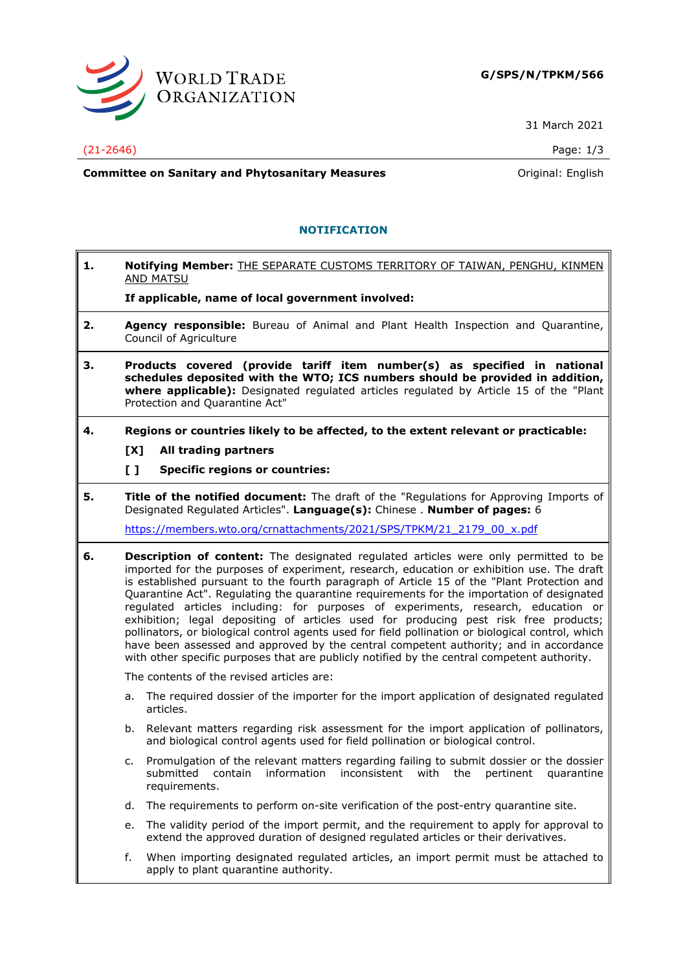

31 March 2021

## (21-2646) Page: 1/3

**Committee on Sanitary and Phytosanitary Measures Committee on Sanitary and Phytosanitary Measures Committee And American** 

## **NOTIFICATION**

**1. Notifying Member:** THE SEPARATE CUSTOMS TERRITORY OF TAIWAN, PENGHU, KINMEN AND MATSU

**If applicable, name of local government involved:**

- **2. Agency responsible:** Bureau of Animal and Plant Health Inspection and Quarantine, Council of Agriculture
- **3. Products covered (provide tariff item number(s) as specified in national schedules deposited with the WTO; ICS numbers should be provided in addition, where applicable):** Designated regulated articles regulated by Article 15 of the "Plant Protection and Quarantine Act"
- **4. Regions or countries likely to be affected, to the extent relevant or practicable:**
	- **[X] All trading partners**
	- **[ ] Specific regions or countries:**
- **5. Title of the notified document:** The draft of the "Regulations for Approving Imports of Designated Regulated Articles". **Language(s):** Chinese . **Number of pages:** 6

[https://members.wto.org/crnattachments/2021/SPS/TPKM/21\\_2179\\_00\\_x.pdf](https://members.wto.org/crnattachments/2021/SPS/TPKM/21_2179_00_x.pdf)

**6. Description of content:** The designated regulated articles were only permitted to be imported for the purposes of experiment, research, education or exhibition use. The draft is established pursuant to the fourth paragraph of Article 15 of the "Plant Protection and Quarantine Act". Regulating the quarantine requirements for the importation of designated regulated articles including: for purposes of experiments, research, education or exhibition; legal depositing of articles used for producing pest risk free products; pollinators, or biological control agents used for field pollination or biological control, which have been assessed and approved by the central competent authority; and in accordance with other specific purposes that are publicly notified by the central competent authority.

The contents of the revised articles are:

- a. The required dossier of the importer for the import application of designated regulated articles.
- b. Relevant matters regarding risk assessment for the import application of pollinators, and biological control agents used for field pollination or biological control.
- c. Promulgation of the relevant matters regarding failing to submit dossier or the dossier submitted contain information inconsistent with the pertinent quarantine requirements.
- d. The requirements to perform on-site verification of the post-entry quarantine site.
- e. The validity period of the import permit, and the requirement to apply for approval to extend the approved duration of designed regulated articles or their derivatives.
- f. When importing designated regulated articles, an import permit must be attached to apply to plant quarantine authority.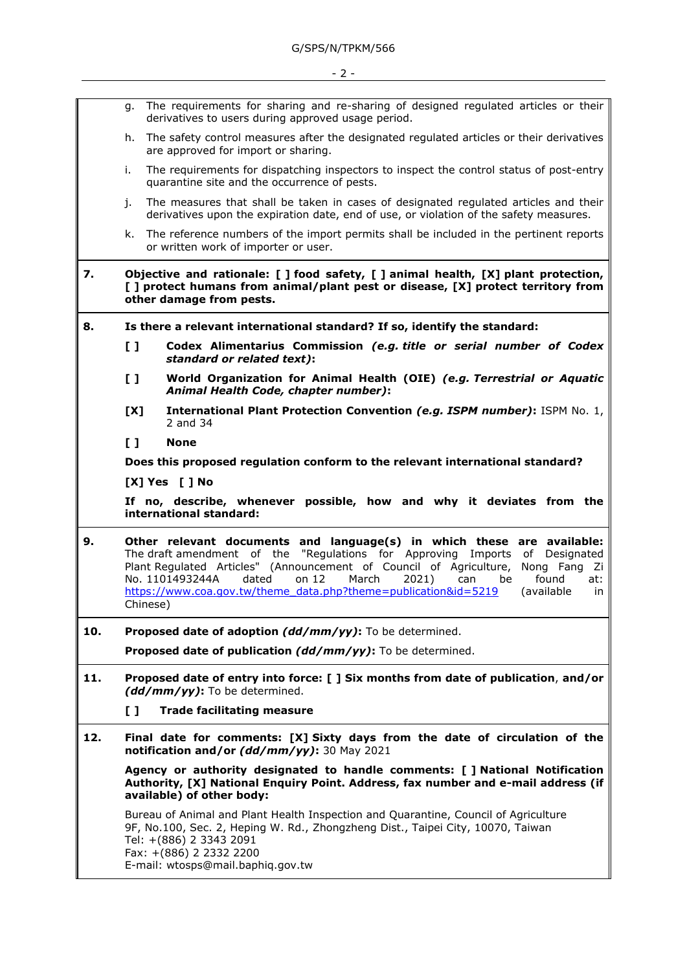|     | g.                                                                                                                                                                                                                                                                                                                                                                                                                                            | The requirements for sharing and re-sharing of designed regulated articles or their<br>derivatives to users during approved usage period.                                                                                                                         |
|-----|-----------------------------------------------------------------------------------------------------------------------------------------------------------------------------------------------------------------------------------------------------------------------------------------------------------------------------------------------------------------------------------------------------------------------------------------------|-------------------------------------------------------------------------------------------------------------------------------------------------------------------------------------------------------------------------------------------------------------------|
|     | h.                                                                                                                                                                                                                                                                                                                                                                                                                                            | The safety control measures after the designated regulated articles or their derivatives<br>are approved for import or sharing.                                                                                                                                   |
|     | i.                                                                                                                                                                                                                                                                                                                                                                                                                                            | The requirements for dispatching inspectors to inspect the control status of post-entry<br>quarantine site and the occurrence of pests.                                                                                                                           |
|     | j.                                                                                                                                                                                                                                                                                                                                                                                                                                            | The measures that shall be taken in cases of designated regulated articles and their<br>derivatives upon the expiration date, end of use, or violation of the safety measures.                                                                                    |
|     | k.                                                                                                                                                                                                                                                                                                                                                                                                                                            | The reference numbers of the import permits shall be included in the pertinent reports<br>or written work of importer or user.                                                                                                                                    |
| 7.  | Objective and rationale: [ ] food safety, [ ] animal health, [X] plant protection,<br>[ ] protect humans from animal/plant pest or disease, [X] protect territory from<br>other damage from pests.                                                                                                                                                                                                                                            |                                                                                                                                                                                                                                                                   |
| 8.  | Is there a relevant international standard? If so, identify the standard:                                                                                                                                                                                                                                                                                                                                                                     |                                                                                                                                                                                                                                                                   |
|     | L J                                                                                                                                                                                                                                                                                                                                                                                                                                           | Codex Alimentarius Commission (e.g. title or serial number of Codex<br>standard or related text):                                                                                                                                                                 |
|     | $\begin{smallmatrix} 1 \end{smallmatrix}$                                                                                                                                                                                                                                                                                                                                                                                                     | World Organization for Animal Health (OIE) (e.g. Terrestrial or Aquatic<br>Animal Health Code, chapter number):                                                                                                                                                   |
|     | [X]                                                                                                                                                                                                                                                                                                                                                                                                                                           | International Plant Protection Convention (e.g. ISPM number): ISPM No. 1,<br>2 and 34                                                                                                                                                                             |
|     | $\mathbf{L}$                                                                                                                                                                                                                                                                                                                                                                                                                                  | <b>None</b>                                                                                                                                                                                                                                                       |
|     | Does this proposed regulation conform to the relevant international standard?                                                                                                                                                                                                                                                                                                                                                                 |                                                                                                                                                                                                                                                                   |
|     | [X] Yes [ ] No                                                                                                                                                                                                                                                                                                                                                                                                                                |                                                                                                                                                                                                                                                                   |
|     | If no, describe, whenever possible, how and why it deviates from the<br>international standard:                                                                                                                                                                                                                                                                                                                                               |                                                                                                                                                                                                                                                                   |
| 9.  | Other relevant documents and language(s) in which these are available:<br>The draft amendment of the "Regulations for Approving Imports<br>of Designated<br>Plant Regulated Articles" (Announcement of Council of Agriculture,<br>Nong Fang<br>- Zi<br>No. 1101493244A<br>on $12$<br>March<br>dated<br>2021)<br>can<br>found<br>be<br>at:<br>https://www.coa.gov.tw/theme_data.php?theme=publication&id=5219<br>(available<br>in.<br>Chinese) |                                                                                                                                                                                                                                                                   |
| 10. | Proposed date of adoption (dd/mm/yy): To be determined.                                                                                                                                                                                                                                                                                                                                                                                       |                                                                                                                                                                                                                                                                   |
|     |                                                                                                                                                                                                                                                                                                                                                                                                                                               | Proposed date of publication (dd/mm/yy): To be determined.                                                                                                                                                                                                        |
| 11. | Proposed date of entry into force: [ ] Six months from date of publication, and/or<br>(dd/mm/yy): To be determined.                                                                                                                                                                                                                                                                                                                           |                                                                                                                                                                                                                                                                   |
|     | []                                                                                                                                                                                                                                                                                                                                                                                                                                            | <b>Trade facilitating measure</b>                                                                                                                                                                                                                                 |
| 12. | Final date for comments: [X] Sixty days from the date of circulation of the<br>notification and/or (dd/mm/yy): 30 May 2021                                                                                                                                                                                                                                                                                                                    |                                                                                                                                                                                                                                                                   |
|     | Agency or authority designated to handle comments: [ ] National Notification<br>Authority, [X] National Enquiry Point. Address, fax number and e-mail address (if<br>available) of other body:                                                                                                                                                                                                                                                |                                                                                                                                                                                                                                                                   |
|     |                                                                                                                                                                                                                                                                                                                                                                                                                                               | Bureau of Animal and Plant Health Inspection and Quarantine, Council of Agriculture<br>9F, No.100, Sec. 2, Heping W. Rd., Zhongzheng Dist., Taipei City, 10070, Taiwan<br>Tel: +(886) 2 3343 2091<br>Fax: +(886) 2 2332 2200<br>E-mail: wtosps@mail.baphiq.gov.tw |